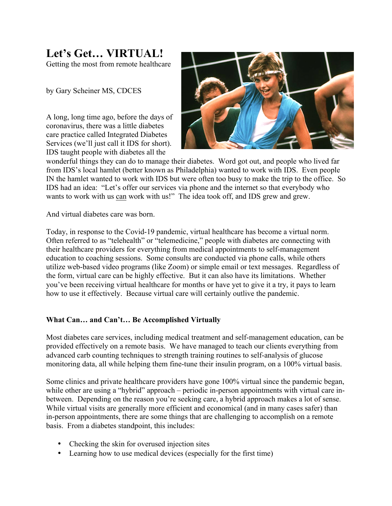## **Let's Get… VIRTUAL!**

Getting the most from remote healthcare

by Gary Scheiner MS, CDCES

A long, long time ago, before the days of coronavirus, there was a little diabetes care practice called Integrated Diabetes Services (we'll just call it IDS for short). IDS taught people with diabetes all the



wonderful things they can do to manage their diabetes. Word got out, and people who lived far from IDS's local hamlet (better known as Philadelphia) wanted to work with IDS. Even people IN the hamlet wanted to work with IDS but were often too busy to make the trip to the office. So IDS had an idea: "Let's offer our services via phone and the internet so that everybody who wants to work with us can work with us!" The idea took off, and IDS grew and grew.

And virtual diabetes care was born.

Today, in response to the Covid-19 pandemic, virtual healthcare has become a virtual norm. Often referred to as "telehealth" or "telemedicine," people with diabetes are connecting with their healthcare providers for everything from medical appointments to self-management education to coaching sessions. Some consults are conducted via phone calls, while others utilize web-based video programs (like Zoom) or simple email or text messages. Regardless of the form, virtual care can be highly effective. But it can also have its limitations. Whether you've been receiving virtual healthcare for months or have yet to give it a try, it pays to learn how to use it effectively. Because virtual care will certainly outlive the pandemic.

## **What Can… and Can't… Be Accomplished Virtually**

Most diabetes care services, including medical treatment and self-management education, can be provided effectively on a remote basis. We have managed to teach our clients everything from advanced carb counting techniques to strength training routines to self-analysis of glucose monitoring data, all while helping them fine-tune their insulin program, on a 100% virtual basis.

Some clinics and private healthcare providers have gone 100% virtual since the pandemic began, while other are using a "hybrid" approach – periodic in-person appointments with virtual care inbetween. Depending on the reason you're seeking care, a hybrid approach makes a lot of sense. While virtual visits are generally more efficient and economical (and in many cases safer) than in-person appointments, there are some things that are challenging to accomplish on a remote basis. From a diabetes standpoint, this includes:

- Checking the skin for overused injection sites
- Learning how to use medical devices (especially for the first time)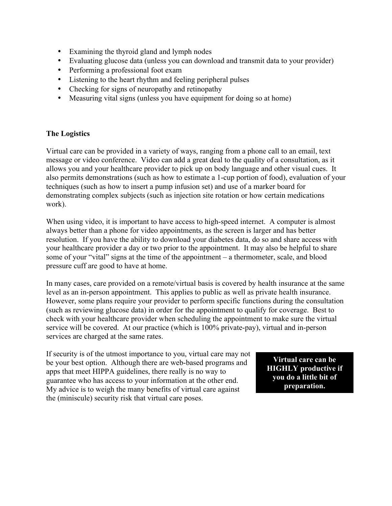- Examining the thyroid gland and lymph nodes
- Evaluating glucose data (unless you can download and transmit data to your provider)
- Performing a professional foot exam
- Listening to the heart rhythm and feeling peripheral pulses
- Checking for signs of neuropathy and retinopathy
- Measuring vital signs (unless you have equipment for doing so at home)

## **The Logistics**

Virtual care can be provided in a variety of ways, ranging from a phone call to an email, text message or video conference. Video can add a great deal to the quality of a consultation, as it allows you and your healthcare provider to pick up on body language and other visual cues. It also permits demonstrations (such as how to estimate a 1-cup portion of food), evaluation of your techniques (such as how to insert a pump infusion set) and use of a marker board for demonstrating complex subjects (such as injection site rotation or how certain medications work).

When using video, it is important to have access to high-speed internet. A computer is almost always better than a phone for video appointments, as the screen is larger and has better resolution. If you have the ability to download your diabetes data, do so and share access with your healthcare provider a day or two prior to the appointment. It may also be helpful to share some of your "vital" signs at the time of the appointment – a thermometer, scale, and blood pressure cuff are good to have at home.

In many cases, care provided on a remote/virtual basis is covered by health insurance at the same level as an in-person appointment. This applies to public as well as private health insurance. However, some plans require your provider to perform specific functions during the consultation (such as reviewing glucose data) in order for the appointment to qualify for coverage. Best to check with your healthcare provider when scheduling the appointment to make sure the virtual service will be covered. At our practice (which is 100% private-pay), virtual and in-person services are charged at the same rates.

If security is of the utmost importance to you, virtual care may not be your best option. Although there are web-based programs and apps that meet HIPPA guidelines, there really is no way to guarantee who has access to your information at the other end. My advice is to weigh the many benefits of virtual care against the (miniscule) security risk that virtual care poses.

**Virtual care can be HIGHLY productive if you do a little bit of preparation.**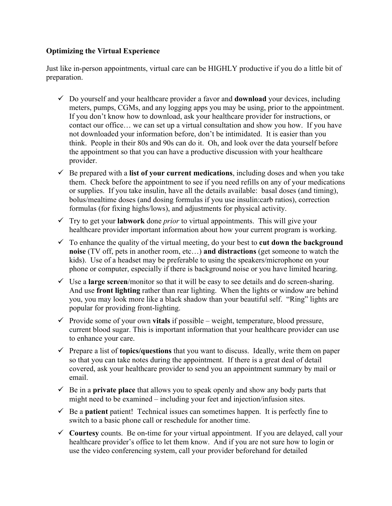## **Optimizing the Virtual Experience**

Just like in-person appointments, virtual care can be HIGHLY productive if you do a little bit of preparation.

- $\checkmark$  Do yourself and your healthcare provider a favor and **download** your devices, including meters, pumps, CGMs, and any logging apps you may be using, prior to the appointment. If you don't know how to download, ask your healthcare provider for instructions, or contact our office… we can set up a virtual consultation and show you how. If you have not downloaded your information before, don't be intimidated. It is easier than you think. People in their 80s and 90s can do it. Oh, and look over the data yourself before the appointment so that you can have a productive discussion with your healthcare provider.
- $\checkmark$  Be prepared with a **list of your current medications**, including doses and when you take them. Check before the appointment to see if you need refills on any of your medications or supplies. If you take insulin, have all the details available: basal doses (and timing), bolus/mealtime doses (and dosing formulas if you use insulin:carb ratios), correction formulas (for fixing highs/lows), and adjustments for physical activity.
- $\checkmark$  Try to get your **labwork** done *prior* to virtual appointments. This will give your healthcare provider important information about how your current program is working.
- $\checkmark$  To enhance the quality of the virtual meeting, do your best to **cut down the background noise** (TV off, pets in another room, etc…) **and distractions** (get someone to watch the kids). Use of a headset may be preferable to using the speakers/microphone on your phone or computer, especially if there is background noise or you have limited hearing.
- $\checkmark$  Use a **large screen**/monitor so that it will be easy to see details and do screen-sharing. And use **front lighting** rather than rear lighting. When the lights or window are behind you, you may look more like a black shadow than your beautiful self. "Ring" lights are popular for providing front-lighting.
- $\checkmark$  Provide some of your own **vitals** if possible weight, temperature, blood pressure, current blood sugar. This is important information that your healthcare provider can use to enhance your care.
- $\checkmark$  Prepare a list of **topics/questions** that you want to discuss. Ideally, write them on paper so that you can take notes during the appointment. If there is a great deal of detail covered, ask your healthcare provider to send you an appointment summary by mail or email.
- $\checkmark$  Be in a **private place** that allows you to speak openly and show any body parts that might need to be examined – including your feet and injection/infusion sites.
- $\checkmark$  Be a **patient** patient! Technical issues can sometimes happen. It is perfectly fine to switch to a basic phone call or reschedule for another time.
- $\checkmark$  Courtesy counts. Be on-time for your virtual appointment. If you are delayed, call your healthcare provider's office to let them know. And if you are not sure how to login or use the video conferencing system, call your provider beforehand for detailed